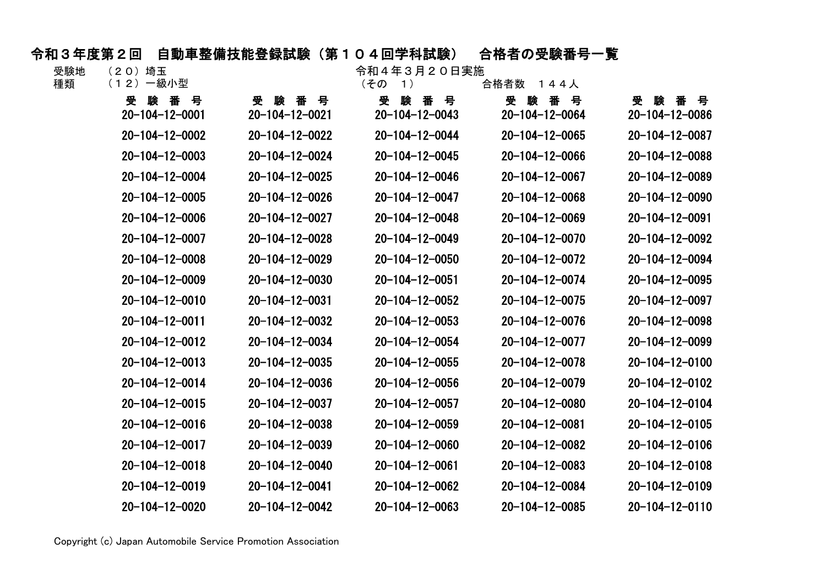## 令和3年度第2回 自動車整備技能登録試験(第104回学科試験) 合格者の受験番号一覧

受験地<br>種類 (12) 一級小型

(20) 埼玉 しんしん しんしん ついり 今和4年3月20日実施

| (12) 一級小型              |                            | (その<br>$\left( \begin{array}{c} 1 \end{array} \right)$ | 合格者数 144人                          |                                    |
|------------------------|----------------------------|--------------------------------------------------------|------------------------------------|------------------------------------|
| 受験番号<br>20-104-12-0001 | 受験<br>番号<br>20-104-12-0021 | 풋<br>験番号<br>$20 - 104 - 12 - 0043$                     | 番号<br>受験<br>$20 - 104 - 12 - 0064$ | 受験番<br>号<br>$20 - 104 - 12 - 0086$ |
| 20-104-12-0002         | 20-104-12-0022             | 20-104-12-0044                                         | $20 - 104 - 12 - 0065$             | 20-104-12-0087                     |
| $20 - 104 - 12 - 0003$ | $20 - 104 - 12 - 0024$     | $20 - 104 - 12 - 0045$                                 | $20 - 104 - 12 - 0066$             | $20 - 104 - 12 - 0088$             |
| 20-104-12-0004         | 20-104-12-0025             | $20 - 104 - 12 - 0046$                                 | $20 - 104 - 12 - 0067$             | $20 - 104 - 12 - 0089$             |
| $20 - 104 - 12 - 0005$ | 20-104-12-0026             | $20 - 104 - 12 - 0047$                                 | $20 - 104 - 12 - 0068$             | 20-104-12-0090                     |
| 20-104-12-0006         | 20-104-12-0027             | $20 - 104 - 12 - 0048$                                 | $20 - 104 - 12 - 0069$             | $20 - 104 - 12 - 0091$             |
| $20 - 104 - 12 - 0007$ | $20 - 104 - 12 - 0028$     | $20 - 104 - 12 - 0049$                                 | $20 - 104 - 12 - 0070$             | 20-104-12-0092                     |
| 20-104-12-0008         | 20-104-12-0029             | 20-104-12-0050                                         | 20-104-12-0072                     | 20-104-12-0094                     |
| 20-104-12-0009         | 20-104-12-0030             | $20 - 104 - 12 - 0051$                                 | 20-104-12-0074                     | $20 - 104 - 12 - 0095$             |
| $20 - 104 - 12 - 0010$ | 20-104-12-0031             | 20-104-12-0052                                         | 20-104-12-0075                     | 20-104-12-0097                     |
| $20 - 104 - 12 - 0011$ | 20-104-12-0032             | $20 - 104 - 12 - 0053$                                 | 20-104-12-0076                     | $20 - 104 - 12 - 0098$             |
| $20 - 104 - 12 - 0012$ | $20 - 104 - 12 - 0034$     | $20 - 104 - 12 - 0054$                                 | 20-104-12-0077                     | $20 - 104 - 12 - 0099$             |
| $20 - 104 - 12 - 0013$ | $20 - 104 - 12 - 0035$     | $20 - 104 - 12 - 0055$                                 | 20-104-12-0078                     | $20 - 104 - 12 - 0100$             |
| 20-104-12-0014         | $20 - 104 - 12 - 0036$     | $20 - 104 - 12 - 0056$                                 | 20-104-12-0079                     | 20-104-12-0102                     |
| $20 - 104 - 12 - 0015$ | 20-104-12-0037             | $20 - 104 - 12 - 0057$                                 | $20 - 104 - 12 - 0080$             | $20 - 104 - 12 - 0104$             |
| $20 - 104 - 12 - 0016$ | $20 - 104 - 12 - 0038$     | $20 - 104 - 12 - 0059$                                 | $20 - 104 - 12 - 0081$             | $20 - 104 - 12 - 0105$             |
| 20-104-12-0017         | 20-104-12-0039             | $20 - 104 - 12 - 0060$                                 | 20-104-12-0082                     | $20 - 104 - 12 - 0106$             |
| $20 - 104 - 12 - 0018$ | 20-104-12-0040             | $20 - 104 - 12 - 0061$                                 | $20 - 104 - 12 - 0083$             | $20 - 104 - 12 - 0108$             |
| $20 - 104 - 12 - 0019$ | 20-104-12-0041             | 20-104-12-0062                                         | 20-104-12-0084                     | $20 - 104 - 12 - 0109$             |
| 20-104-12-0020         | 20-104-12-0042             | $20 - 104 - 12 - 0063$                                 | $20 - 104 - 12 - 0085$             | $20 - 104 - 12 - 0110$             |

Copyright (c) Japan Automobile Service Promotion Association